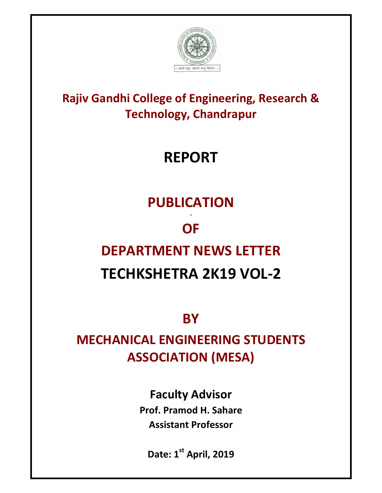

### **Rajiv Gandhi College of Engineering, Research & Technology, Chandrapur**

# **REPORT**

## **PUBLICATION**

# **OF**

# **DEPARTMENT NEWS LETTER**

### **TECHKSHETRA 2K19 VOL-2**

**BY** 

### **MECHANICAL ENGINEERING STUDENTS ASSOCIATION (MESA)**

**Faculty Advisor Prof. Pramod H. Sahare Assistant Professor** 

**Date: 1st April, 2019**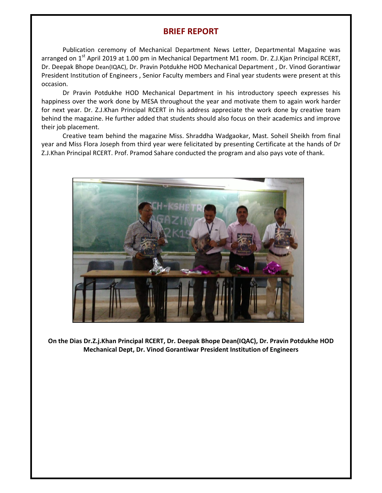#### **BRIEF REPORT**

Publication ceremony of Mechanical Department News Letter, Departmental Magazine was arranged on 1<sup>st</sup> April 2019 at 1.00 pm in Mechanical Department M1 room. Dr. Z.J.Kjan Principal RCERT, Dr. Deepak Bhope Dean(IQAC), Dr. Pravin Potdukhe HOD Mechanical Department , Dr. Vinod Gorantiwar President Institution of Engineers , Senior Faculty members and Final year students were present at this occasion.

Dr Pravin Potdukhe HOD Mechanical Department in his introductory speech expresses his happiness over the work done by MESA throughout the year and motivate them to again work harder for next year. Dr. Z.J.Khan Principal RCERT in his address appreciate the work done by creative team behind the magazine. He further added that students should also focus on their academics and improve their job placement.

Creative team behind the magazine Miss. Shraddha Wadgaokar, Mast. Soheil Sheikh from final year and Miss Flora Joseph from third year were felicitated by presenting Certificate at the hands of Dr Z.J.Khan Principal RCERT. Prof. Pramod Sahare conducted the program and also pays vote of thank.



**On the Dias Dr.Z.j.Khan Principal RCERT, Dr. Deepak Bhope Dean(IQAC), Dr. Pravin Potdukhe HOD Mechanical Dept, Dr. Vinod Gorantiwar President Institution of Engineers**